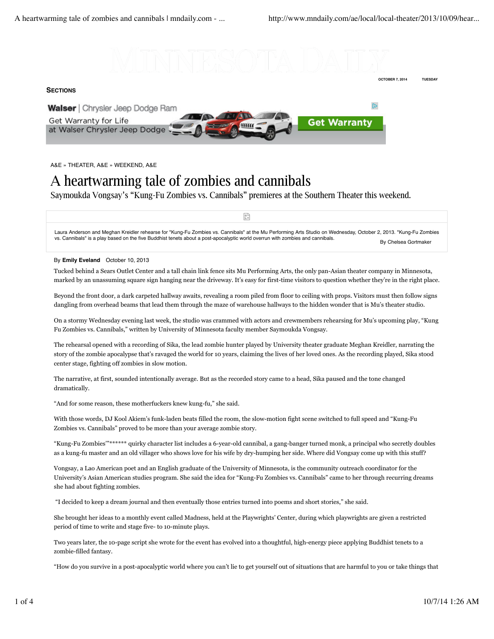

## **SECTIONS**





A&E » THEATER, A&E » WEEKEND, A&E

## A heartwarming tale of zombies and cannibals

Saymoukda Vongsay's "Kung-Fu Zombies vs. Cannibals" premieres at the Southern Theater this weekend.

By Chelsea Gortmaker Laura Anderson and Meghan Kreidler rehearse for "Kung-Fu Zombies vs. Cannibals" at the Mu Performing Arts Studio on Wednesday, October 2, 2013. "Kung-Fu Zombies vs. Cannibals" is a play based on the five Buddhist tenets about a post-apocalyptic world overrun with zombies and cannibals.

 $\mathbb{R}^n$ 

## By **Emily Eveland** October 10, 2013

Tucked behind a Sears Outlet Center and a tall chain link fence sits Mu Performing Arts, the only pan-Asian theater company in Minnesota, marked by an unassuming square sign hanging near the driveway. It's easy for first-time visitors to question whether they're in the right place.

Beyond the front door, a dark carpeted hallway awaits, revealing a room piled from floor to ceiling with props. Visitors must then follow signs dangling from overhead beams that lead them through the maze of warehouse hallways to the hidden wonder that is Mu's theater studio.

On a stormy Wednesday evening last week, the studio was crammed with actors and crewmembers rehearsing for Mu's upcoming play, "Kung Fu Zombies vs. Cannibals," written by University of Minnesota faculty member Saymoukda Vongsay.

The rehearsal opened with a recording of Sika, the lead zombie hunter played by University theater graduate Meghan Kreidler, narrating the story of the zombie apocalypse that's ravaged the world for 10 years, claiming the lives of her loved ones. As the recording played, Sika stood center stage, fighting off zombies in slow motion.

The narrative, at first, sounded intentionally average. But as the recorded story came to a head, Sika paused and the tone changed dramatically.

"And for some reason, these motherfuckers knew kung-fu," she said.

With those words, DJ Kool Akiem's funk-laden beats filled the room, the slow-motion fight scene switched to full speed and "Kung-Fu Zombies vs. Cannibals" proved to be more than your average zombie story.

"Kung-Fu Zombies'"\*\*\*\*\*\* quirky character list includes a 6-year-old cannibal, a gang-banger turned monk, a principal who secretly doubles as a kung-fu master and an old villager who shows love for his wife by dry-humping her side. Where did Vongsay come up with this stuff?

Vongsay, a Lao American poet and an English graduate of the University of Minnesota, is the community outreach coordinator for the University's Asian American studies program. She said the idea for "Kung-Fu Zombies vs. Cannibals" came to her through recurring dreams she had about fighting zombies.

"I decided to keep a dream journal and then eventually those entries turned into poems and short stories," she said.

She brought her ideas to a monthly event called Madness, held at the Playwrights' Center, during which playwrights are given a restricted period of time to write and stage five- to 10-minute plays.

Two years later, the 10-page script she wrote for the event has evolved into a thoughtful, high-energy piece applying Buddhist tenets to a zombie-filled fantasy.

"How do you survive in a post-apocalyptic world where you can't lie to get yourself out of situations that are harmful to you or take things that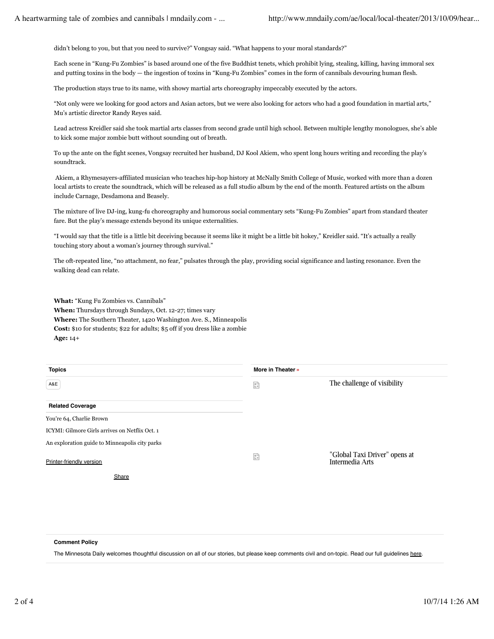didn't belong to you, but that you need to survive?" Vongsay said. "What happens to your moral standards?"

Each scene in "Kung-Fu Zombies" is based around one of the five Buddhist tenets, which prohibit lying, stealing, killing, having immoral sex and putting toxins in the body — the ingestion of toxins in "Kung-Fu Zombies" comes in the form of cannibals devouring human flesh.

The production stays true to its name, with showy martial arts choreography impeccably executed by the actors.

"Not only were we looking for good actors and Asian actors, but we were also looking for actors who had a good foundation in martial arts," Mu's artistic director Randy Reyes said.

Lead actress Kreidler said she took martial arts classes from second grade until high school. Between multiple lengthy monologues, she's able to kick some major zombie butt without sounding out of breath.

To up the ante on the fight scenes, Vongsay recruited her husband, DJ Kool Akiem, who spent long hours writing and recording the play's soundtrack.

 Akiem, a Rhymesayers-affiliated musician who teaches hip-hop history at McNally Smith College of Music, worked with more than a dozen local artists to create the soundtrack, which will be released as a full studio album by the end of the month. Featured artists on the album include Carnage, Desdamona and Beasely.

The mixture of live DJ-ing, kung-fu choreography and humorous social commentary sets "Kung-Fu Zombies" apart from standard theater fare. But the play's message extends beyond its unique externalities.

"I would say that the title is a little bit deceiving because it seems like it might be a little bit hokey," Kreidler said. "It's actually a really touching story about a woman's journey through survival."

The oft-repeated line, "no attachment, no fear," pulsates through the play, providing social significance and lasting resonance. Even the walking dead can relate.

**What:** "Kung Fu Zombies vs. Cannibals"

**When:** Thursdays through Sundays, Oct. 12-27; times vary **Where:** The Southern Theater, 1420 Washington Ave. S., Minneapolis **Cost:** \$10 for students; \$22 for adults; \$5 off if you dress like a zombie **Age:** 14+

| <b>Topics</b>                                  | More in Theater » |                                                  |
|------------------------------------------------|-------------------|--------------------------------------------------|
| A&E                                            | 읇                 | The challenge of visibility                      |
| <b>Related Coverage</b>                        |                   |                                                  |
| You're 64, Charlie Brown                       |                   |                                                  |
| ICYMI: Gilmore Girls arrives on Netflix Oct. 1 |                   |                                                  |
| An exploration guide to Minneapolis city parks |                   |                                                  |
| Printer-friendly version                       | $\frac{a}{b}$     | "Global Taxi Driver" opens at<br>Intermedia Arts |
| Share                                          |                   |                                                  |

## **Comment Policy**

The Minnesota Daily welcomes thoughtful discussion on all of our stories, but please keep comments civil and on-topic. Read our full guidelines here.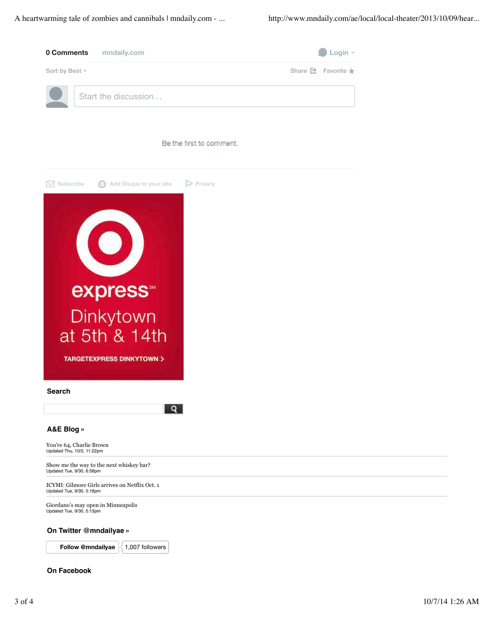A heartwarming tale of zombies and cannibals | mndaily.com - ... http://www.mndaily.com/ae/local/local-theater/2013/10/09/hear...





## **On Twitter @mndailyae »**

**Follow @mndailyae**  $\leq 1,007$  followers

## **On Facebook**